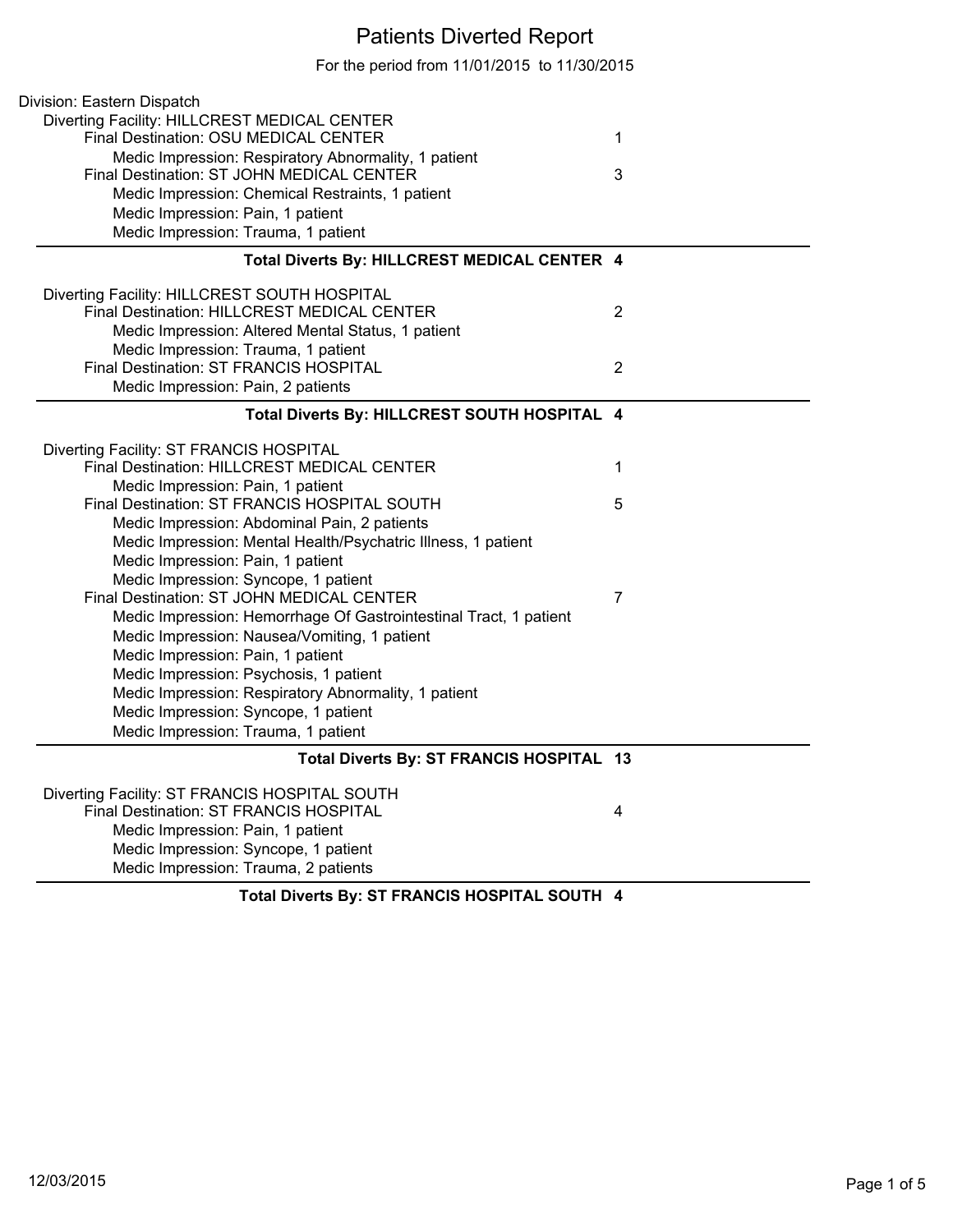## Patients Diverted Report

For the period from 11/01/2015 to 11/30/2015

| Division: Eastern Dispatch                                        |                |
|-------------------------------------------------------------------|----------------|
| Diverting Facility: HILLCREST MEDICAL CENTER                      |                |
| Final Destination: OSU MEDICAL CENTER                             | 1              |
| Medic Impression: Respiratory Abnormality, 1 patient              |                |
| Final Destination: ST JOHN MEDICAL CENTER                         | 3              |
| Medic Impression: Chemical Restraints, 1 patient                  |                |
| Medic Impression: Pain, 1 patient                                 |                |
| Medic Impression: Trauma, 1 patient                               |                |
| Total Diverts By: HILLCREST MEDICAL CENTER 4                      |                |
| Diverting Facility: HILLCREST SOUTH HOSPITAL                      |                |
| Final Destination: HILLCREST MEDICAL CENTER                       | 2              |
| Medic Impression: Altered Mental Status, 1 patient                |                |
| Medic Impression: Trauma, 1 patient                               |                |
| Final Destination: ST FRANCIS HOSPITAL                            | $\overline{2}$ |
| Medic Impression: Pain, 2 patients                                |                |
| Total Diverts By: HILLCREST SOUTH HOSPITAL 4                      |                |
| Diverting Facility: ST FRANCIS HOSPITAL                           |                |
| Final Destination: HILLCREST MEDICAL CENTER                       | 1              |
| Medic Impression: Pain, 1 patient                                 |                |
| Final Destination: ST FRANCIS HOSPITAL SOUTH                      | 5              |
| Medic Impression: Abdominal Pain, 2 patients                      |                |
| Medic Impression: Mental Health/Psychatric Illness, 1 patient     |                |
| Medic Impression: Pain, 1 patient                                 |                |
| Medic Impression: Syncope, 1 patient                              |                |
| Final Destination: ST JOHN MEDICAL CENTER                         | 7              |
| Medic Impression: Hemorrhage Of Gastrointestinal Tract, 1 patient |                |
| Medic Impression: Nausea/Vomiting, 1 patient                      |                |
| Medic Impression: Pain, 1 patient                                 |                |
| Medic Impression: Psychosis, 1 patient                            |                |
| Medic Impression: Respiratory Abnormality, 1 patient              |                |
| Medic Impression: Syncope, 1 patient                              |                |
| Medic Impression: Trauma, 1 patient                               |                |
| Total Diverts By: ST FRANCIS HOSPITAL 13                          |                |
| Diverting Facility: ST FRANCIS HOSPITAL SOUTH                     |                |
| Final Destination: ST FRANCIS HOSPITAL                            | 4              |
| Medic Impression: Pain, 1 patient                                 |                |
| Medic Impression: Syncope, 1 patient                              |                |
| Medic Impression: Trauma, 2 patients                              |                |
| Total Diverts By: ST FRANCIS HOSPITAL SOUTH 4                     |                |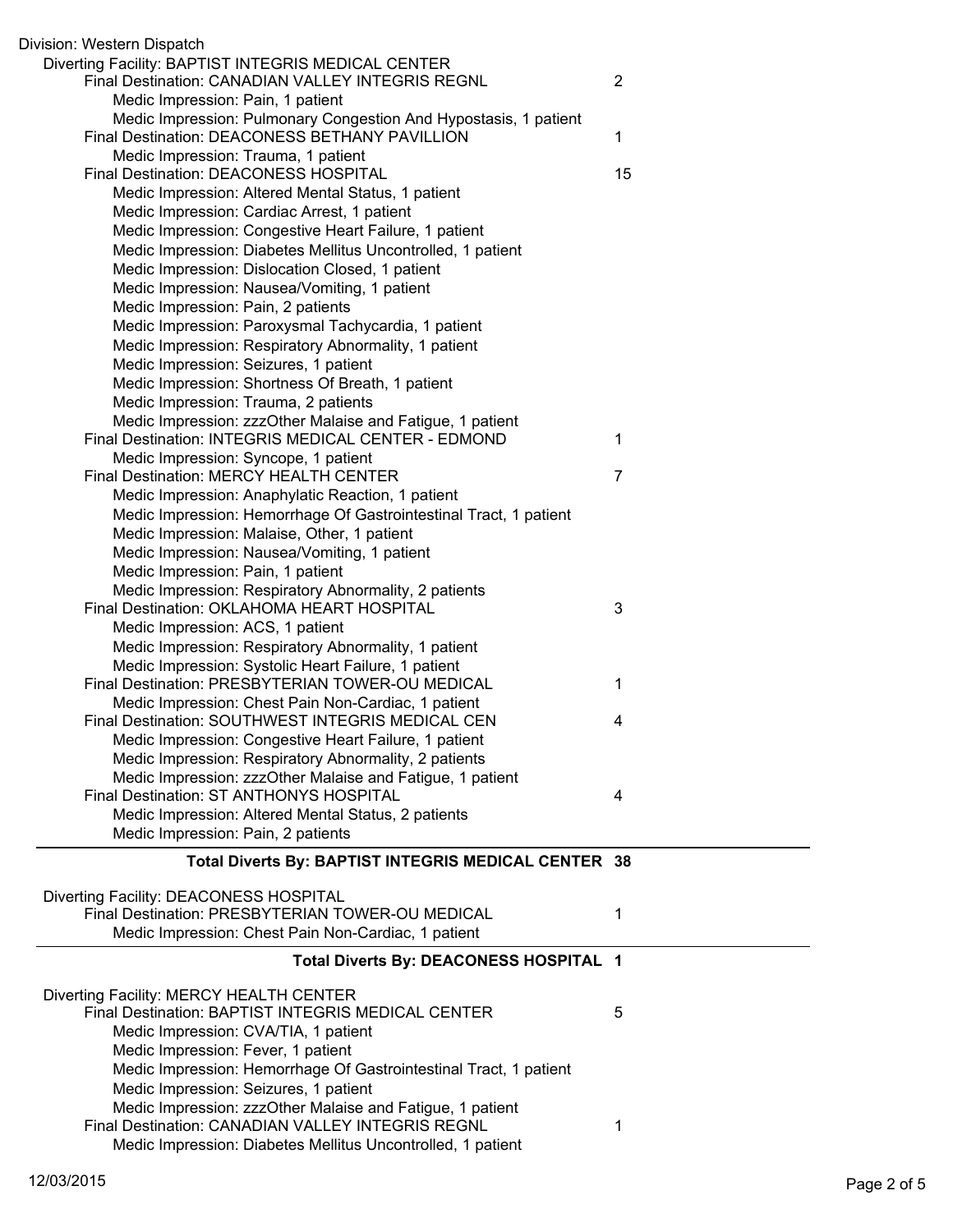| Division: Western Dispatch                                                                                       |                |
|------------------------------------------------------------------------------------------------------------------|----------------|
| Diverting Facility: BAPTIST INTEGRIS MEDICAL CENTER                                                              |                |
| Final Destination: CANADIAN VALLEY INTEGRIS REGNL                                                                | $\overline{2}$ |
| Medic Impression: Pain, 1 patient                                                                                |                |
| Medic Impression: Pulmonary Congestion And Hypostasis, 1 patient                                                 |                |
| Final Destination: DEACONESS BETHANY PAVILLION                                                                   | 1              |
| Medic Impression: Trauma, 1 patient                                                                              |                |
| Final Destination: DEACONESS HOSPITAL                                                                            | 15             |
| Medic Impression: Altered Mental Status, 1 patient                                                               |                |
| Medic Impression: Cardiac Arrest, 1 patient                                                                      |                |
| Medic Impression: Congestive Heart Failure, 1 patient                                                            |                |
| Medic Impression: Diabetes Mellitus Uncontrolled, 1 patient                                                      |                |
| Medic Impression: Dislocation Closed, 1 patient                                                                  |                |
| Medic Impression: Nausea/Vomiting, 1 patient                                                                     |                |
| Medic Impression: Pain, 2 patients                                                                               |                |
|                                                                                                                  |                |
| Medic Impression: Paroxysmal Tachycardia, 1 patient                                                              |                |
| Medic Impression: Respiratory Abnormality, 1 patient                                                             |                |
| Medic Impression: Seizures, 1 patient                                                                            |                |
| Medic Impression: Shortness Of Breath, 1 patient                                                                 |                |
| Medic Impression: Trauma, 2 patients                                                                             |                |
| Medic Impression: zzzOther Malaise and Fatigue, 1 patient                                                        |                |
| Final Destination: INTEGRIS MEDICAL CENTER - EDMOND                                                              | 1              |
| Medic Impression: Syncope, 1 patient                                                                             |                |
| Final Destination: MERCY HEALTH CENTER                                                                           | 7              |
| Medic Impression: Anaphylatic Reaction, 1 patient                                                                |                |
| Medic Impression: Hemorrhage Of Gastrointestinal Tract, 1 patient                                                |                |
| Medic Impression: Malaise, Other, 1 patient                                                                      |                |
| Medic Impression: Nausea/Vomiting, 1 patient                                                                     |                |
| Medic Impression: Pain, 1 patient                                                                                |                |
| Medic Impression: Respiratory Abnormality, 2 patients                                                            |                |
| Final Destination: OKLAHOMA HEART HOSPITAL                                                                       | 3              |
| Medic Impression: ACS, 1 patient                                                                                 |                |
| Medic Impression: Respiratory Abnormality, 1 patient                                                             |                |
| Medic Impression: Systolic Heart Failure, 1 patient                                                              |                |
| Final Destination: PRESBYTERIAN TOWER-OU MEDICAL                                                                 | 1              |
|                                                                                                                  |                |
|                                                                                                                  |                |
| Medic Impression: Chest Pain Non-Cardiac, 1 patient                                                              |                |
| Final Destination: SOUTHWEST INTEGRIS MEDICAL CEN                                                                | 4              |
| Medic Impression: Congestive Heart Failure, 1 patient                                                            |                |
| Medic Impression: Respiratory Abnormality, 2 patients                                                            |                |
| Medic Impression: zzzOther Malaise and Fatigue, 1 patient                                                        |                |
| Final Destination: ST ANTHONYS HOSPITAL                                                                          | 4              |
| Medic Impression: Altered Mental Status, 2 patients                                                              |                |
| Medic Impression: Pain, 2 patients                                                                               |                |
| Total Diverts By: BAPTIST INTEGRIS MEDICAL CENTER 38                                                             |                |
|                                                                                                                  |                |
| Diverting Facility: DEACONESS HOSPITAL                                                                           |                |
| Final Destination: PRESBYTERIAN TOWER-OU MEDICAL                                                                 | 1              |
| Medic Impression: Chest Pain Non-Cardiac, 1 patient                                                              |                |
| Total Diverts By: DEACONESS HOSPITAL 1                                                                           |                |
|                                                                                                                  |                |
| Diverting Facility: MERCY HEALTH CENTER                                                                          |                |
| <b>Final Destination: BAPTIST INTEGRIS MEDICAL CENTER</b>                                                        | 5              |
| Medic Impression: CVA/TIA, 1 patient                                                                             |                |
| Medic Impression: Fever, 1 patient                                                                               |                |
| Medic Impression: Hemorrhage Of Gastrointestinal Tract, 1 patient                                                |                |
| Medic Impression: Seizures, 1 patient                                                                            |                |
| Medic Impression: zzzOther Malaise and Fatigue, 1 patient                                                        |                |
| Final Destination: CANADIAN VALLEY INTEGRIS REGNL<br>Medic Impression: Diabetes Mellitus Uncontrolled, 1 patient | 1              |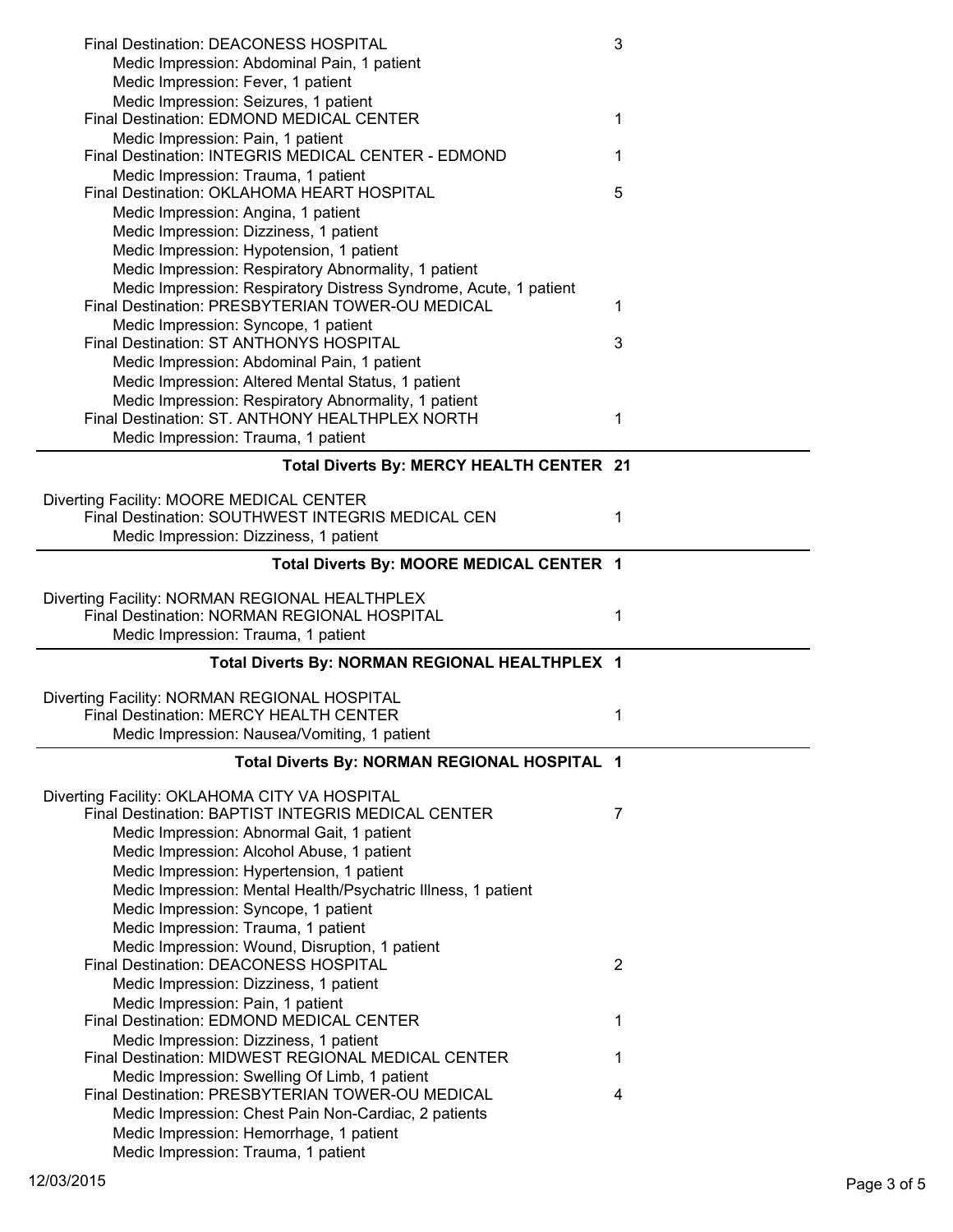| Final Destination: DEACONESS HOSPITAL                                          | 3              |
|--------------------------------------------------------------------------------|----------------|
| Medic Impression: Abdominal Pain, 1 patient                                    |                |
| Medic Impression: Fever, 1 patient                                             |                |
| Medic Impression: Seizures, 1 patient                                          |                |
| Final Destination: EDMOND MEDICAL CENTER                                       | 1              |
| Medic Impression: Pain, 1 patient                                              |                |
| Final Destination: INTEGRIS MEDICAL CENTER - EDMOND                            | 1              |
| Medic Impression: Trauma, 1 patient                                            |                |
| Final Destination: OKLAHOMA HEART HOSPITAL                                     | 5              |
| Medic Impression: Angina, 1 patient                                            |                |
| Medic Impression: Dizziness, 1 patient                                         |                |
| Medic Impression: Hypotension, 1 patient                                       |                |
| Medic Impression: Respiratory Abnormality, 1 patient                           |                |
| Medic Impression: Respiratory Distress Syndrome, Acute, 1 patient              |                |
| Final Destination: PRESBYTERIAN TOWER-OU MEDICAL                               | 1              |
| Medic Impression: Syncope, 1 patient                                           |                |
| Final Destination: ST ANTHONYS HOSPITAL                                        | 3              |
| Medic Impression: Abdominal Pain, 1 patient                                    |                |
| Medic Impression: Altered Mental Status, 1 patient                             |                |
| Medic Impression: Respiratory Abnormality, 1 patient                           |                |
| Final Destination: ST. ANTHONY HEALTHPLEX NORTH                                | 1              |
| Medic Impression: Trauma, 1 patient                                            |                |
| Total Diverts By: MERCY HEALTH CENTER 21                                       |                |
|                                                                                |                |
| Diverting Facility: MOORE MEDICAL CENTER                                       |                |
| Final Destination: SOUTHWEST INTEGRIS MEDICAL CEN                              | 1              |
| Medic Impression: Dizziness, 1 patient                                         |                |
| Total Diverts By: MOORE MEDICAL CENTER 1                                       |                |
|                                                                                |                |
|                                                                                |                |
| Diverting Facility: NORMAN REGIONAL HEALTHPLEX                                 |                |
| Final Destination: NORMAN REGIONAL HOSPITAL                                    | 1              |
| Medic Impression: Trauma, 1 patient                                            |                |
|                                                                                |                |
| Total Diverts By: NORMAN REGIONAL HEALTHPLEX 1                                 |                |
| Diverting Facility: NORMAN REGIONAL HOSPITAL                                   |                |
| Final Destination: MERCY HEALTH CENTER                                         | 1              |
| Medic Impression: Nausea/Vomiting, 1 patient                                   |                |
|                                                                                |                |
| Total Diverts By: NORMAN REGIONAL HOSPITAL 1                                   |                |
| Diverting Facility: OKLAHOMA CITY VA HOSPITAL                                  |                |
| Final Destination: BAPTIST INTEGRIS MEDICAL CENTER                             | 7              |
| Medic Impression: Abnormal Gait, 1 patient                                     |                |
| Medic Impression: Alcohol Abuse, 1 patient                                     |                |
| Medic Impression: Hypertension, 1 patient                                      |                |
| Medic Impression: Mental Health/Psychatric Illness, 1 patient                  |                |
| Medic Impression: Syncope, 1 patient                                           |                |
| Medic Impression: Trauma, 1 patient                                            |                |
| Medic Impression: Wound, Disruption, 1 patient                                 |                |
| Final Destination: DEACONESS HOSPITAL                                          | $\overline{2}$ |
| Medic Impression: Dizziness, 1 patient                                         |                |
| Medic Impression: Pain, 1 patient                                              |                |
| Final Destination: EDMOND MEDICAL CENTER                                       | 1              |
| Medic Impression: Dizziness, 1 patient                                         |                |
| Final Destination: MIDWEST REGIONAL MEDICAL CENTER                             | 1              |
| Medic Impression: Swelling Of Limb, 1 patient                                  |                |
| Final Destination: PRESBYTERIAN TOWER-OU MEDICAL                               | 4              |
| Medic Impression: Chest Pain Non-Cardiac, 2 patients                           |                |
| Medic Impression: Hemorrhage, 1 patient<br>Medic Impression: Trauma, 1 patient |                |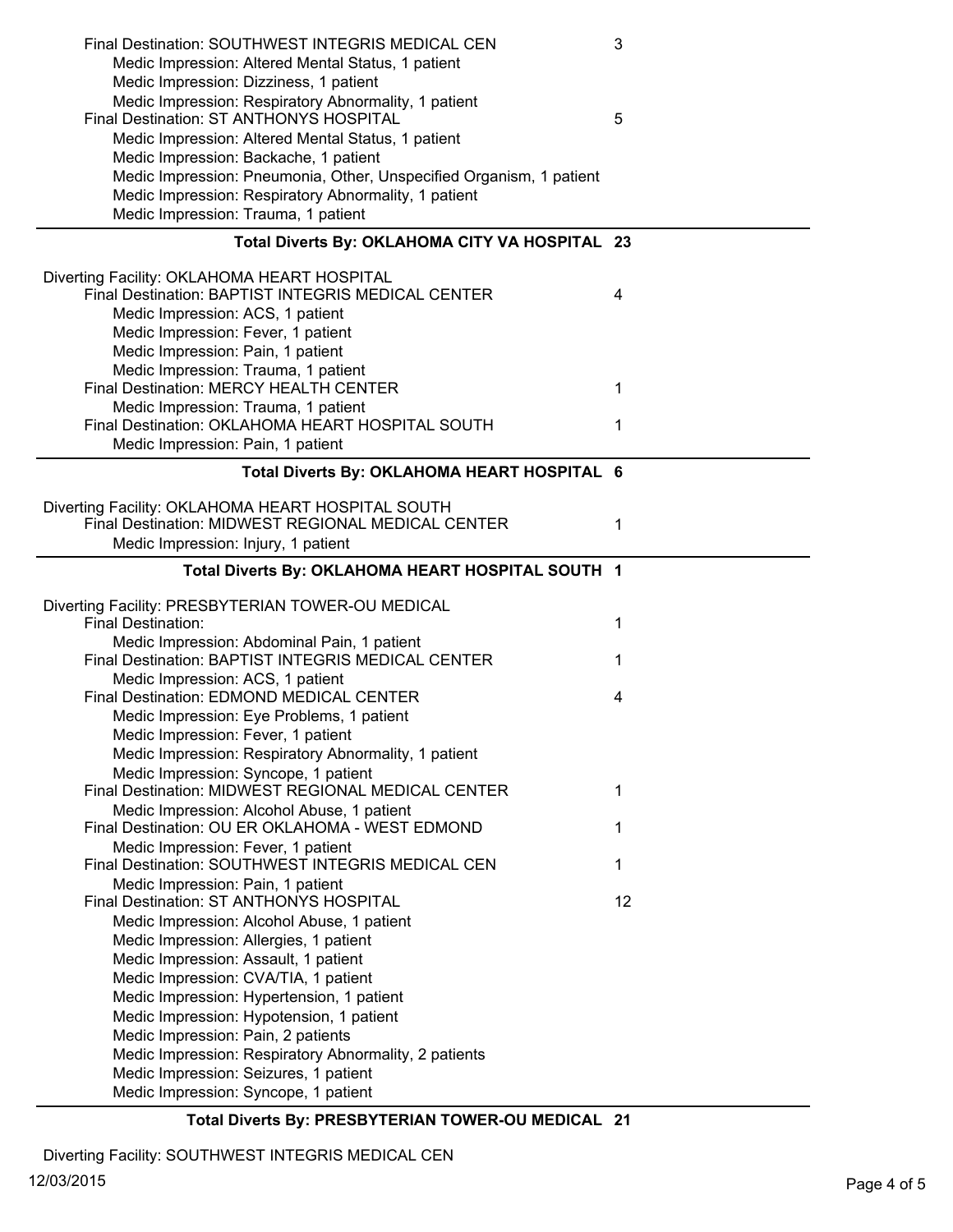| Medic Impression: Dizziness, 1 patient<br>Medic Impression: Respiratory Abnormality, 1 patient<br>Final Destination: ST ANTHONYS HOSPITAL<br>5<br>Medic Impression: Altered Mental Status, 1 patient<br>Medic Impression: Backache, 1 patient<br>Medic Impression: Pneumonia, Other, Unspecified Organism, 1 patient<br>Medic Impression: Respiratory Abnormality, 1 patient<br>Medic Impression: Trauma, 1 patient<br>Total Diverts By: OKLAHOMA CITY VA HOSPITAL 23<br>Diverting Facility: OKLAHOMA HEART HOSPITAL<br>Final Destination: BAPTIST INTEGRIS MEDICAL CENTER<br>4<br>Medic Impression: ACS, 1 patient<br>Medic Impression: Fever, 1 patient<br>Medic Impression: Pain, 1 patient<br>Medic Impression: Trauma, 1 patient<br>Final Destination: MERCY HEALTH CENTER<br>1<br>Medic Impression: Trauma, 1 patient<br>Final Destination: OKLAHOMA HEART HOSPITAL SOUTH<br>1<br>Medic Impression: Pain, 1 patient<br>Total Diverts By: OKLAHOMA HEART HOSPITAL 6<br>Diverting Facility: OKLAHOMA HEART HOSPITAL SOUTH<br>Final Destination: MIDWEST REGIONAL MEDICAL CENTER<br>1<br>Medic Impression: Injury, 1 patient<br>Total Diverts By: OKLAHOMA HEART HOSPITAL SOUTH 1<br>Diverting Facility: PRESBYTERIAN TOWER-OU MEDICAL<br>Final Destination:<br>1<br>Medic Impression: Abdominal Pain, 1 patient<br>Final Destination: BAPTIST INTEGRIS MEDICAL CENTER<br>1<br>Medic Impression: ACS, 1 patient<br>Final Destination: EDMOND MEDICAL CENTER<br>4<br>Medic Impression: Eye Problems, 1 patient<br>Medic Impression: Fever, 1 patient<br>Medic Impression: Respiratory Abnormality, 1 patient<br>Medic Impression: Syncope, 1 patient<br>Final Destination: MIDWEST REGIONAL MEDICAL CENTER<br>1<br>Medic Impression: Alcohol Abuse, 1 patient<br>Final Destination: OU ER OKLAHOMA - WEST EDMOND<br>1<br>Medic Impression: Fever, 1 patient<br>Final Destination: SOUTHWEST INTEGRIS MEDICAL CEN<br>1<br>Medic Impression: Pain, 1 patient<br>Final Destination: ST ANTHONYS HOSPITAL<br>12<br>Medic Impression: Alcohol Abuse, 1 patient<br>Medic Impression: Allergies, 1 patient<br>Medic Impression: Assault, 1 patient<br>Medic Impression: CVA/TIA, 1 patient<br>Medic Impression: Hypertension, 1 patient<br>Medic Impression: Hypotension, 1 patient<br>Medic Impression: Pain, 2 patients | Final Destination: SOUTHWEST INTEGRIS MEDICAL CEN  | 3 |
|----------------------------------------------------------------------------------------------------------------------------------------------------------------------------------------------------------------------------------------------------------------------------------------------------------------------------------------------------------------------------------------------------------------------------------------------------------------------------------------------------------------------------------------------------------------------------------------------------------------------------------------------------------------------------------------------------------------------------------------------------------------------------------------------------------------------------------------------------------------------------------------------------------------------------------------------------------------------------------------------------------------------------------------------------------------------------------------------------------------------------------------------------------------------------------------------------------------------------------------------------------------------------------------------------------------------------------------------------------------------------------------------------------------------------------------------------------------------------------------------------------------------------------------------------------------------------------------------------------------------------------------------------------------------------------------------------------------------------------------------------------------------------------------------------------------------------------------------------------------------------------------------------------------------------------------------------------------------------------------------------------------------------------------------------------------------------------------------------------------------------------------------------------------------------------------------------------------------------------------------------------------------------------------------------------------------|----------------------------------------------------|---|
|                                                                                                                                                                                                                                                                                                                                                                                                                                                                                                                                                                                                                                                                                                                                                                                                                                                                                                                                                                                                                                                                                                                                                                                                                                                                                                                                                                                                                                                                                                                                                                                                                                                                                                                                                                                                                                                                                                                                                                                                                                                                                                                                                                                                                                                                                                                      | Medic Impression: Altered Mental Status, 1 patient |   |
|                                                                                                                                                                                                                                                                                                                                                                                                                                                                                                                                                                                                                                                                                                                                                                                                                                                                                                                                                                                                                                                                                                                                                                                                                                                                                                                                                                                                                                                                                                                                                                                                                                                                                                                                                                                                                                                                                                                                                                                                                                                                                                                                                                                                                                                                                                                      |                                                    |   |
|                                                                                                                                                                                                                                                                                                                                                                                                                                                                                                                                                                                                                                                                                                                                                                                                                                                                                                                                                                                                                                                                                                                                                                                                                                                                                                                                                                                                                                                                                                                                                                                                                                                                                                                                                                                                                                                                                                                                                                                                                                                                                                                                                                                                                                                                                                                      |                                                    |   |
|                                                                                                                                                                                                                                                                                                                                                                                                                                                                                                                                                                                                                                                                                                                                                                                                                                                                                                                                                                                                                                                                                                                                                                                                                                                                                                                                                                                                                                                                                                                                                                                                                                                                                                                                                                                                                                                                                                                                                                                                                                                                                                                                                                                                                                                                                                                      |                                                    |   |
|                                                                                                                                                                                                                                                                                                                                                                                                                                                                                                                                                                                                                                                                                                                                                                                                                                                                                                                                                                                                                                                                                                                                                                                                                                                                                                                                                                                                                                                                                                                                                                                                                                                                                                                                                                                                                                                                                                                                                                                                                                                                                                                                                                                                                                                                                                                      |                                                    |   |
|                                                                                                                                                                                                                                                                                                                                                                                                                                                                                                                                                                                                                                                                                                                                                                                                                                                                                                                                                                                                                                                                                                                                                                                                                                                                                                                                                                                                                                                                                                                                                                                                                                                                                                                                                                                                                                                                                                                                                                                                                                                                                                                                                                                                                                                                                                                      |                                                    |   |
|                                                                                                                                                                                                                                                                                                                                                                                                                                                                                                                                                                                                                                                                                                                                                                                                                                                                                                                                                                                                                                                                                                                                                                                                                                                                                                                                                                                                                                                                                                                                                                                                                                                                                                                                                                                                                                                                                                                                                                                                                                                                                                                                                                                                                                                                                                                      |                                                    |   |
|                                                                                                                                                                                                                                                                                                                                                                                                                                                                                                                                                                                                                                                                                                                                                                                                                                                                                                                                                                                                                                                                                                                                                                                                                                                                                                                                                                                                                                                                                                                                                                                                                                                                                                                                                                                                                                                                                                                                                                                                                                                                                                                                                                                                                                                                                                                      |                                                    |   |
|                                                                                                                                                                                                                                                                                                                                                                                                                                                                                                                                                                                                                                                                                                                                                                                                                                                                                                                                                                                                                                                                                                                                                                                                                                                                                                                                                                                                                                                                                                                                                                                                                                                                                                                                                                                                                                                                                                                                                                                                                                                                                                                                                                                                                                                                                                                      |                                                    |   |
|                                                                                                                                                                                                                                                                                                                                                                                                                                                                                                                                                                                                                                                                                                                                                                                                                                                                                                                                                                                                                                                                                                                                                                                                                                                                                                                                                                                                                                                                                                                                                                                                                                                                                                                                                                                                                                                                                                                                                                                                                                                                                                                                                                                                                                                                                                                      |                                                    |   |
|                                                                                                                                                                                                                                                                                                                                                                                                                                                                                                                                                                                                                                                                                                                                                                                                                                                                                                                                                                                                                                                                                                                                                                                                                                                                                                                                                                                                                                                                                                                                                                                                                                                                                                                                                                                                                                                                                                                                                                                                                                                                                                                                                                                                                                                                                                                      |                                                    |   |
|                                                                                                                                                                                                                                                                                                                                                                                                                                                                                                                                                                                                                                                                                                                                                                                                                                                                                                                                                                                                                                                                                                                                                                                                                                                                                                                                                                                                                                                                                                                                                                                                                                                                                                                                                                                                                                                                                                                                                                                                                                                                                                                                                                                                                                                                                                                      |                                                    |   |
|                                                                                                                                                                                                                                                                                                                                                                                                                                                                                                                                                                                                                                                                                                                                                                                                                                                                                                                                                                                                                                                                                                                                                                                                                                                                                                                                                                                                                                                                                                                                                                                                                                                                                                                                                                                                                                                                                                                                                                                                                                                                                                                                                                                                                                                                                                                      |                                                    |   |
|                                                                                                                                                                                                                                                                                                                                                                                                                                                                                                                                                                                                                                                                                                                                                                                                                                                                                                                                                                                                                                                                                                                                                                                                                                                                                                                                                                                                                                                                                                                                                                                                                                                                                                                                                                                                                                                                                                                                                                                                                                                                                                                                                                                                                                                                                                                      |                                                    |   |
|                                                                                                                                                                                                                                                                                                                                                                                                                                                                                                                                                                                                                                                                                                                                                                                                                                                                                                                                                                                                                                                                                                                                                                                                                                                                                                                                                                                                                                                                                                                                                                                                                                                                                                                                                                                                                                                                                                                                                                                                                                                                                                                                                                                                                                                                                                                      |                                                    |   |
|                                                                                                                                                                                                                                                                                                                                                                                                                                                                                                                                                                                                                                                                                                                                                                                                                                                                                                                                                                                                                                                                                                                                                                                                                                                                                                                                                                                                                                                                                                                                                                                                                                                                                                                                                                                                                                                                                                                                                                                                                                                                                                                                                                                                                                                                                                                      |                                                    |   |
|                                                                                                                                                                                                                                                                                                                                                                                                                                                                                                                                                                                                                                                                                                                                                                                                                                                                                                                                                                                                                                                                                                                                                                                                                                                                                                                                                                                                                                                                                                                                                                                                                                                                                                                                                                                                                                                                                                                                                                                                                                                                                                                                                                                                                                                                                                                      |                                                    |   |
|                                                                                                                                                                                                                                                                                                                                                                                                                                                                                                                                                                                                                                                                                                                                                                                                                                                                                                                                                                                                                                                                                                                                                                                                                                                                                                                                                                                                                                                                                                                                                                                                                                                                                                                                                                                                                                                                                                                                                                                                                                                                                                                                                                                                                                                                                                                      |                                                    |   |
|                                                                                                                                                                                                                                                                                                                                                                                                                                                                                                                                                                                                                                                                                                                                                                                                                                                                                                                                                                                                                                                                                                                                                                                                                                                                                                                                                                                                                                                                                                                                                                                                                                                                                                                                                                                                                                                                                                                                                                                                                                                                                                                                                                                                                                                                                                                      |                                                    |   |
|                                                                                                                                                                                                                                                                                                                                                                                                                                                                                                                                                                                                                                                                                                                                                                                                                                                                                                                                                                                                                                                                                                                                                                                                                                                                                                                                                                                                                                                                                                                                                                                                                                                                                                                                                                                                                                                                                                                                                                                                                                                                                                                                                                                                                                                                                                                      |                                                    |   |
|                                                                                                                                                                                                                                                                                                                                                                                                                                                                                                                                                                                                                                                                                                                                                                                                                                                                                                                                                                                                                                                                                                                                                                                                                                                                                                                                                                                                                                                                                                                                                                                                                                                                                                                                                                                                                                                                                                                                                                                                                                                                                                                                                                                                                                                                                                                      |                                                    |   |
|                                                                                                                                                                                                                                                                                                                                                                                                                                                                                                                                                                                                                                                                                                                                                                                                                                                                                                                                                                                                                                                                                                                                                                                                                                                                                                                                                                                                                                                                                                                                                                                                                                                                                                                                                                                                                                                                                                                                                                                                                                                                                                                                                                                                                                                                                                                      |                                                    |   |
|                                                                                                                                                                                                                                                                                                                                                                                                                                                                                                                                                                                                                                                                                                                                                                                                                                                                                                                                                                                                                                                                                                                                                                                                                                                                                                                                                                                                                                                                                                                                                                                                                                                                                                                                                                                                                                                                                                                                                                                                                                                                                                                                                                                                                                                                                                                      |                                                    |   |
|                                                                                                                                                                                                                                                                                                                                                                                                                                                                                                                                                                                                                                                                                                                                                                                                                                                                                                                                                                                                                                                                                                                                                                                                                                                                                                                                                                                                                                                                                                                                                                                                                                                                                                                                                                                                                                                                                                                                                                                                                                                                                                                                                                                                                                                                                                                      |                                                    |   |
|                                                                                                                                                                                                                                                                                                                                                                                                                                                                                                                                                                                                                                                                                                                                                                                                                                                                                                                                                                                                                                                                                                                                                                                                                                                                                                                                                                                                                                                                                                                                                                                                                                                                                                                                                                                                                                                                                                                                                                                                                                                                                                                                                                                                                                                                                                                      |                                                    |   |
|                                                                                                                                                                                                                                                                                                                                                                                                                                                                                                                                                                                                                                                                                                                                                                                                                                                                                                                                                                                                                                                                                                                                                                                                                                                                                                                                                                                                                                                                                                                                                                                                                                                                                                                                                                                                                                                                                                                                                                                                                                                                                                                                                                                                                                                                                                                      |                                                    |   |
|                                                                                                                                                                                                                                                                                                                                                                                                                                                                                                                                                                                                                                                                                                                                                                                                                                                                                                                                                                                                                                                                                                                                                                                                                                                                                                                                                                                                                                                                                                                                                                                                                                                                                                                                                                                                                                                                                                                                                                                                                                                                                                                                                                                                                                                                                                                      |                                                    |   |
|                                                                                                                                                                                                                                                                                                                                                                                                                                                                                                                                                                                                                                                                                                                                                                                                                                                                                                                                                                                                                                                                                                                                                                                                                                                                                                                                                                                                                                                                                                                                                                                                                                                                                                                                                                                                                                                                                                                                                                                                                                                                                                                                                                                                                                                                                                                      |                                                    |   |
|                                                                                                                                                                                                                                                                                                                                                                                                                                                                                                                                                                                                                                                                                                                                                                                                                                                                                                                                                                                                                                                                                                                                                                                                                                                                                                                                                                                                                                                                                                                                                                                                                                                                                                                                                                                                                                                                                                                                                                                                                                                                                                                                                                                                                                                                                                                      |                                                    |   |
|                                                                                                                                                                                                                                                                                                                                                                                                                                                                                                                                                                                                                                                                                                                                                                                                                                                                                                                                                                                                                                                                                                                                                                                                                                                                                                                                                                                                                                                                                                                                                                                                                                                                                                                                                                                                                                                                                                                                                                                                                                                                                                                                                                                                                                                                                                                      |                                                    |   |
|                                                                                                                                                                                                                                                                                                                                                                                                                                                                                                                                                                                                                                                                                                                                                                                                                                                                                                                                                                                                                                                                                                                                                                                                                                                                                                                                                                                                                                                                                                                                                                                                                                                                                                                                                                                                                                                                                                                                                                                                                                                                                                                                                                                                                                                                                                                      |                                                    |   |
|                                                                                                                                                                                                                                                                                                                                                                                                                                                                                                                                                                                                                                                                                                                                                                                                                                                                                                                                                                                                                                                                                                                                                                                                                                                                                                                                                                                                                                                                                                                                                                                                                                                                                                                                                                                                                                                                                                                                                                                                                                                                                                                                                                                                                                                                                                                      |                                                    |   |
|                                                                                                                                                                                                                                                                                                                                                                                                                                                                                                                                                                                                                                                                                                                                                                                                                                                                                                                                                                                                                                                                                                                                                                                                                                                                                                                                                                                                                                                                                                                                                                                                                                                                                                                                                                                                                                                                                                                                                                                                                                                                                                                                                                                                                                                                                                                      |                                                    |   |
|                                                                                                                                                                                                                                                                                                                                                                                                                                                                                                                                                                                                                                                                                                                                                                                                                                                                                                                                                                                                                                                                                                                                                                                                                                                                                                                                                                                                                                                                                                                                                                                                                                                                                                                                                                                                                                                                                                                                                                                                                                                                                                                                                                                                                                                                                                                      |                                                    |   |
|                                                                                                                                                                                                                                                                                                                                                                                                                                                                                                                                                                                                                                                                                                                                                                                                                                                                                                                                                                                                                                                                                                                                                                                                                                                                                                                                                                                                                                                                                                                                                                                                                                                                                                                                                                                                                                                                                                                                                                                                                                                                                                                                                                                                                                                                                                                      |                                                    |   |
|                                                                                                                                                                                                                                                                                                                                                                                                                                                                                                                                                                                                                                                                                                                                                                                                                                                                                                                                                                                                                                                                                                                                                                                                                                                                                                                                                                                                                                                                                                                                                                                                                                                                                                                                                                                                                                                                                                                                                                                                                                                                                                                                                                                                                                                                                                                      |                                                    |   |
|                                                                                                                                                                                                                                                                                                                                                                                                                                                                                                                                                                                                                                                                                                                                                                                                                                                                                                                                                                                                                                                                                                                                                                                                                                                                                                                                                                                                                                                                                                                                                                                                                                                                                                                                                                                                                                                                                                                                                                                                                                                                                                                                                                                                                                                                                                                      |                                                    |   |
|                                                                                                                                                                                                                                                                                                                                                                                                                                                                                                                                                                                                                                                                                                                                                                                                                                                                                                                                                                                                                                                                                                                                                                                                                                                                                                                                                                                                                                                                                                                                                                                                                                                                                                                                                                                                                                                                                                                                                                                                                                                                                                                                                                                                                                                                                                                      |                                                    |   |
|                                                                                                                                                                                                                                                                                                                                                                                                                                                                                                                                                                                                                                                                                                                                                                                                                                                                                                                                                                                                                                                                                                                                                                                                                                                                                                                                                                                                                                                                                                                                                                                                                                                                                                                                                                                                                                                                                                                                                                                                                                                                                                                                                                                                                                                                                                                      |                                                    |   |
|                                                                                                                                                                                                                                                                                                                                                                                                                                                                                                                                                                                                                                                                                                                                                                                                                                                                                                                                                                                                                                                                                                                                                                                                                                                                                                                                                                                                                                                                                                                                                                                                                                                                                                                                                                                                                                                                                                                                                                                                                                                                                                                                                                                                                                                                                                                      |                                                    |   |
|                                                                                                                                                                                                                                                                                                                                                                                                                                                                                                                                                                                                                                                                                                                                                                                                                                                                                                                                                                                                                                                                                                                                                                                                                                                                                                                                                                                                                                                                                                                                                                                                                                                                                                                                                                                                                                                                                                                                                                                                                                                                                                                                                                                                                                                                                                                      |                                                    |   |
|                                                                                                                                                                                                                                                                                                                                                                                                                                                                                                                                                                                                                                                                                                                                                                                                                                                                                                                                                                                                                                                                                                                                                                                                                                                                                                                                                                                                                                                                                                                                                                                                                                                                                                                                                                                                                                                                                                                                                                                                                                                                                                                                                                                                                                                                                                                      |                                                    |   |
|                                                                                                                                                                                                                                                                                                                                                                                                                                                                                                                                                                                                                                                                                                                                                                                                                                                                                                                                                                                                                                                                                                                                                                                                                                                                                                                                                                                                                                                                                                                                                                                                                                                                                                                                                                                                                                                                                                                                                                                                                                                                                                                                                                                                                                                                                                                      |                                                    |   |
|                                                                                                                                                                                                                                                                                                                                                                                                                                                                                                                                                                                                                                                                                                                                                                                                                                                                                                                                                                                                                                                                                                                                                                                                                                                                                                                                                                                                                                                                                                                                                                                                                                                                                                                                                                                                                                                                                                                                                                                                                                                                                                                                                                                                                                                                                                                      |                                                    |   |
|                                                                                                                                                                                                                                                                                                                                                                                                                                                                                                                                                                                                                                                                                                                                                                                                                                                                                                                                                                                                                                                                                                                                                                                                                                                                                                                                                                                                                                                                                                                                                                                                                                                                                                                                                                                                                                                                                                                                                                                                                                                                                                                                                                                                                                                                                                                      |                                                    |   |
|                                                                                                                                                                                                                                                                                                                                                                                                                                                                                                                                                                                                                                                                                                                                                                                                                                                                                                                                                                                                                                                                                                                                                                                                                                                                                                                                                                                                                                                                                                                                                                                                                                                                                                                                                                                                                                                                                                                                                                                                                                                                                                                                                                                                                                                                                                                      |                                                    |   |
| Medic Impression: Respiratory Abnormality, 2 patients                                                                                                                                                                                                                                                                                                                                                                                                                                                                                                                                                                                                                                                                                                                                                                                                                                                                                                                                                                                                                                                                                                                                                                                                                                                                                                                                                                                                                                                                                                                                                                                                                                                                                                                                                                                                                                                                                                                                                                                                                                                                                                                                                                                                                                                                |                                                    |   |
| Medic Impression: Seizures, 1 patient                                                                                                                                                                                                                                                                                                                                                                                                                                                                                                                                                                                                                                                                                                                                                                                                                                                                                                                                                                                                                                                                                                                                                                                                                                                                                                                                                                                                                                                                                                                                                                                                                                                                                                                                                                                                                                                                                                                                                                                                                                                                                                                                                                                                                                                                                |                                                    |   |
| Medic Impression: Syncope, 1 patient                                                                                                                                                                                                                                                                                                                                                                                                                                                                                                                                                                                                                                                                                                                                                                                                                                                                                                                                                                                                                                                                                                                                                                                                                                                                                                                                                                                                                                                                                                                                                                                                                                                                                                                                                                                                                                                                                                                                                                                                                                                                                                                                                                                                                                                                                 |                                                    |   |

**Total Diverts By: PRESBYTERIAN TOWER-OU MEDICAL 21**